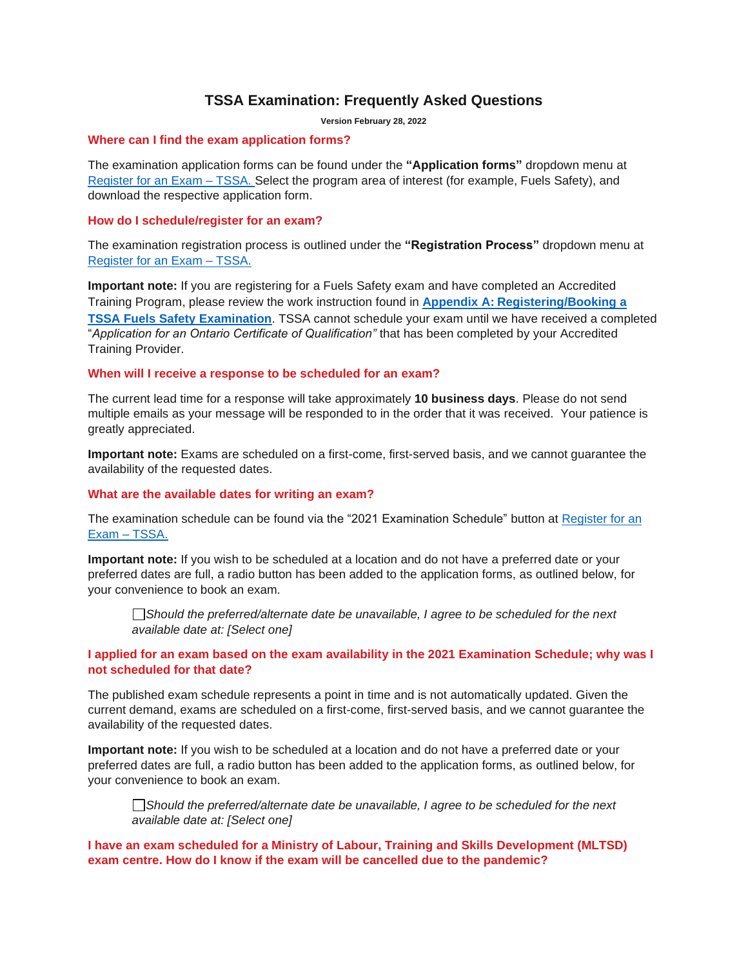## **TSSA Examination: Frequently Asked Questions**

**Version February 28, 2022**

#### **Where can I find the exam application forms?**

The examination application forms can be found under the **"Application forms"** dropdown menu at Register for an Exam – [TSSA. Select the program area of interest \(for example, Fuels Safety\), and](https://www.tssa.org/en/ski-lifts/register-for-an-exam.aspx?_mid_=215)  [download the respective application form.](https://www.tssa.org/en/ski-lifts/register-for-an-exam.aspx?_mid_=215) 

#### **How do I schedule/register for an exam?**

The examination registration process is outlined under the **"Registration Process"** dropdown menu at [Register for an Exam –](https://www.tssa.org/en/ski-lifts/register-for-an-exam.aspx?_mid_=215) TSSA.

**Important note:** If you are registering for a Fuels Safety exam and have completed an Accredited Training Program, please review the work instruction found in **Appendix A: [Registering/Booking a](#page-7-0)  [TSSA Fuels Safety Examination](#page-7-0)**. TSSA cannot schedule your exam until we have received a completed "*Application for an Ontario Certificate of Qualification"* that has been completed by your Accredited Training Provider.

#### **When will I receive a response to be scheduled for an exam?**

The current lead time for a response will take approximately **10 business days**. Please do not send multiple emails as your message will be responded to in the order that it was received. Your patience is greatly appreciated.

**Important note:** Exams are scheduled on a first-come, first-served basis, and we cannot guarantee the availability of the requested dates.

#### **What are the available dates for writing an exam?**

The examination schedule can be found via the "2021 Examination Schedule" button at [Register for an](https://www.tssa.org/en/ski-lifts/register-for-an-exam.aspx?_mid_=215)  [Exam –](https://www.tssa.org/en/ski-lifts/register-for-an-exam.aspx?_mid_=215) TSSA.

**Important note:** If you wish to be scheduled at a location and do not have a preferred date or your preferred dates are full, a radio button has been added to the application forms, as outlined below, for your convenience to book an exam.

*Should the preferred/alternate date be unavailable, I agree to be scheduled for the next available date at: [Select one]*

#### **I applied for an exam based on the exam availability in the 2021 Examination Schedule; why was I not scheduled for that date?**

The published exam schedule represents a point in time and is not automatically updated. Given the current demand, exams are scheduled on a first-come, first-served basis, and we cannot guarantee the availability of the requested dates.

**Important note:** If you wish to be scheduled at a location and do not have a preferred date or your preferred dates are full, a radio button has been added to the application forms, as outlined below, for your convenience to book an exam.

*Should the preferred/alternate date be unavailable, I agree to be scheduled for the next available date at: [Select one]*

#### **I have an exam scheduled for a Ministry of Labour, Training and Skills Development (MLTSD) exam centre. How do I know if the exam will be cancelled due to the pandemic?**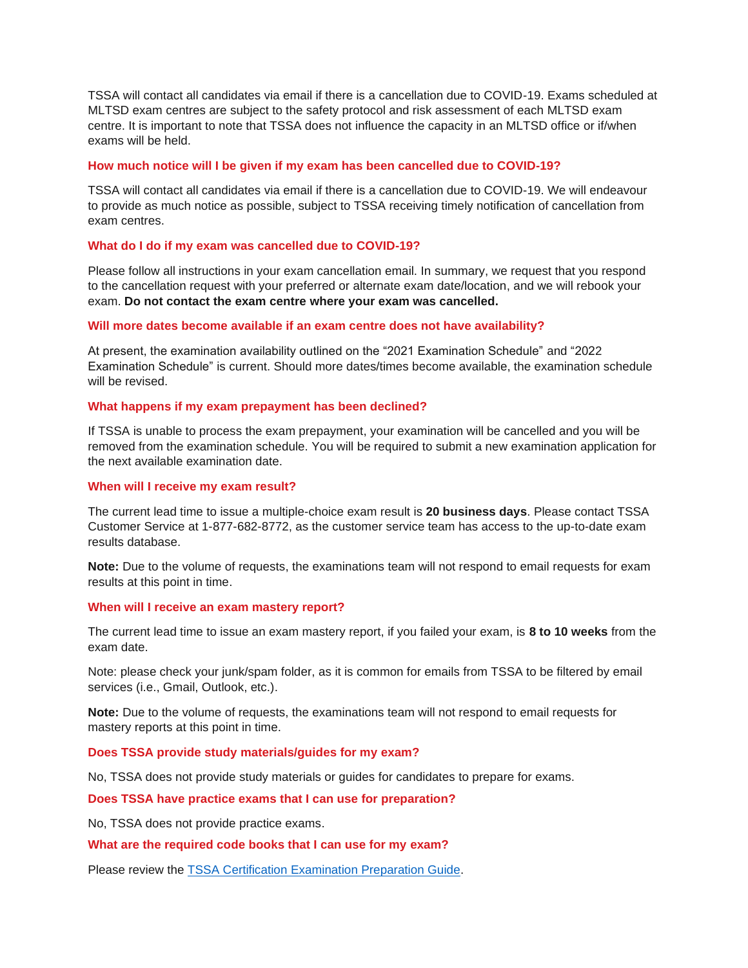TSSA will contact all candidates via email if there is a cancellation due to COVID-19. Exams scheduled at MLTSD exam centres are subject to the safety protocol and risk assessment of each MLTSD exam centre. It is important to note that TSSA does not influence the capacity in an MLTSD office or if/when exams will be held.

#### **How much notice will I be given if my exam has been cancelled due to COVID-19?**

TSSA will contact all candidates via email if there is a cancellation due to COVID-19. We will endeavour to provide as much notice as possible, subject to TSSA receiving timely notification of cancellation from exam centres.

#### **What do I do if my exam was cancelled due to COVID-19?**

Please follow all instructions in your exam cancellation email. In summary, we request that you respond to the cancellation request with your preferred or alternate exam date/location, and we will rebook your exam. **Do not contact the exam centre where your exam was cancelled.**

#### **Will more dates become available if an exam centre does not have availability?**

At present, the examination availability outlined on the "2021 Examination Schedule" and "2022 Examination Schedule" is current. Should more dates/times become available, the examination schedule will be revised.

#### **What happens if my exam prepayment has been declined?**

If TSSA is unable to process the exam prepayment, your examination will be cancelled and you will be removed from the examination schedule. You will be required to submit a new examination application for the next available examination date.

#### **When will I receive my exam result?**

The current lead time to issue a multiple-choice exam result is **20 business days**. Please contact TSSA Customer Service at 1-877-682-8772, as the customer service team has access to the up-to-date exam results database.

**Note:** Due to the volume of requests, the examinations team will not respond to email requests for exam results at this point in time.

#### **When will I receive an exam mastery report?**

The current lead time to issue an exam mastery report, if you failed your exam, is **8 to 10 weeks** from the exam date.

Note: please check your junk/spam folder, as it is common for emails from TSSA to be filtered by email services (i.e., Gmail, Outlook, etc.).

**Note:** Due to the volume of requests, the examinations team will not respond to email requests for mastery reports at this point in time.

#### **Does TSSA provide study materials/guides for my exam?**

No, TSSA does not provide study materials or guides for candidates to prepare for exams.

#### **Does TSSA have practice exams that I can use for preparation?**

No, TSSA does not provide practice exams.

#### **What are the required code books that I can use for my exam?**

Please review the [TSSA Certification Examination Preparation Guide.](https://www.tssa.org/en/resources/MAESD-Exam-Schedule/App-Forms/CE-Examination-Prep-Guide---September-2020---Final-for-Publication.pdf)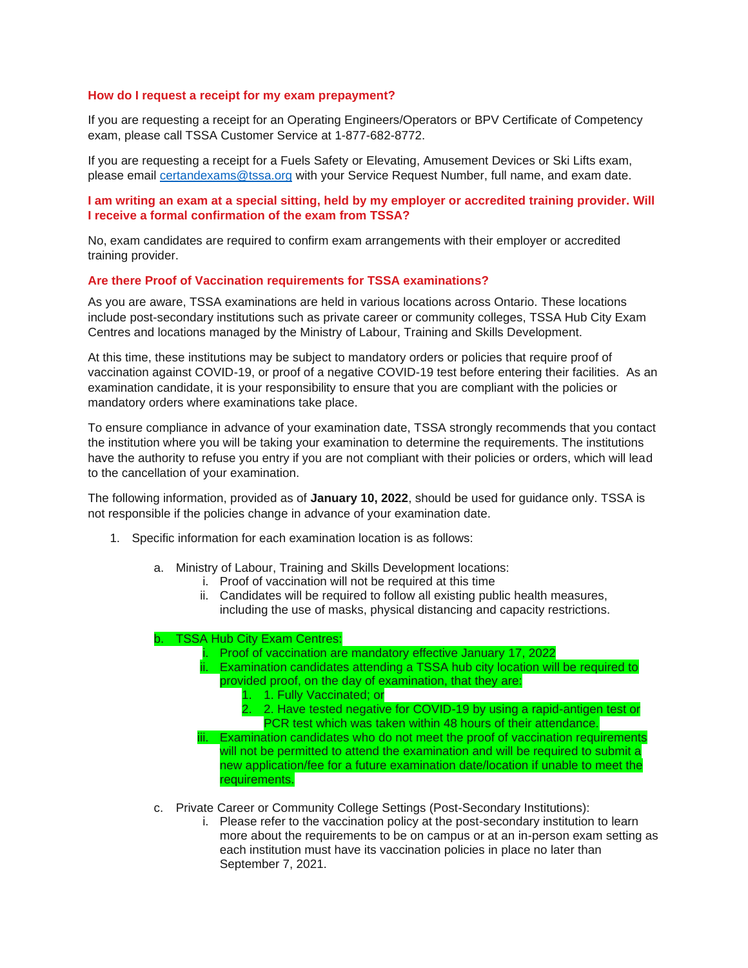#### **How do I request a receipt for my exam prepayment?**

If you are requesting a receipt for an Operating Engineers/Operators or BPV Certificate of Competency exam, please call TSSA Customer Service at 1-877-682-8772.

If you are requesting a receipt for a Fuels Safety or Elevating, Amusement Devices or Ski Lifts exam, please email [certandexams@tssa.org](mailto:certandexams@tssa.org) with your Service Request Number, full name, and exam date.

#### **I am writing an exam at a special sitting, held by my employer or accredited training provider. Will I receive a formal confirmation of the exam from TSSA?**

No, exam candidates are required to confirm exam arrangements with their employer or accredited training provider.

#### **Are there Proof of Vaccination requirements for TSSA examinations?**

As you are aware, TSSA examinations are held in various locations across Ontario. These locations include post-secondary institutions such as private career or community colleges, TSSA Hub City Exam Centres and locations managed by the Ministry of Labour, Training and Skills Development.

At this time, these institutions may be subject to mandatory orders or policies that require proof of vaccination against COVID-19, or proof of a negative COVID-19 test before entering their facilities. As an examination candidate, it is your responsibility to ensure that you are compliant with the policies or mandatory orders where examinations take place.

To ensure compliance in advance of your examination date, TSSA strongly recommends that you contact the institution where you will be taking your examination to determine the requirements. The institutions have the authority to refuse you entry if you are not compliant with their policies or orders, which will lead to the cancellation of your examination.

The following information, provided as of **January 10, 2022**, should be used for guidance only. TSSA is not responsible if the policies change in advance of your examination date.

- 1. Specific information for each examination location is as follows:
	- a. Ministry of Labour, Training and Skills Development locations:
		- i. Proof of vaccination will not be required at this time
		- ii. Candidates will be required to follow all existing public health measures, including the use of masks, physical distancing and capacity restrictions.

#### b. TSSA Hub City Exam Centres:

- Proof of vaccination are mandatory effective January 17, 2022
	- Examination candidates attending a TSSA hub city location will be required to provided proof, on the day of examination, that they are:
		- 1. 1. Fully Vaccinated; or
		- 2. 2. Have tested negative for COVID-19 by using a rapid-antigen test or PCR test which was taken within 48 hours of their attendance.
- iii. Examination candidates who do not meet the proof of vaccination requirements will not be permitted to attend the examination and will be required to submit a new application/fee for a future examination date/location if unable to meet the requirements.
- c. Private Career or Community College Settings (Post-Secondary Institutions):
	- i. Please refer to the vaccination policy at the post-secondary institution to learn more about the requirements to be on campus or at an in-person exam setting as each institution must have its vaccination policies in place no later than September 7, 2021.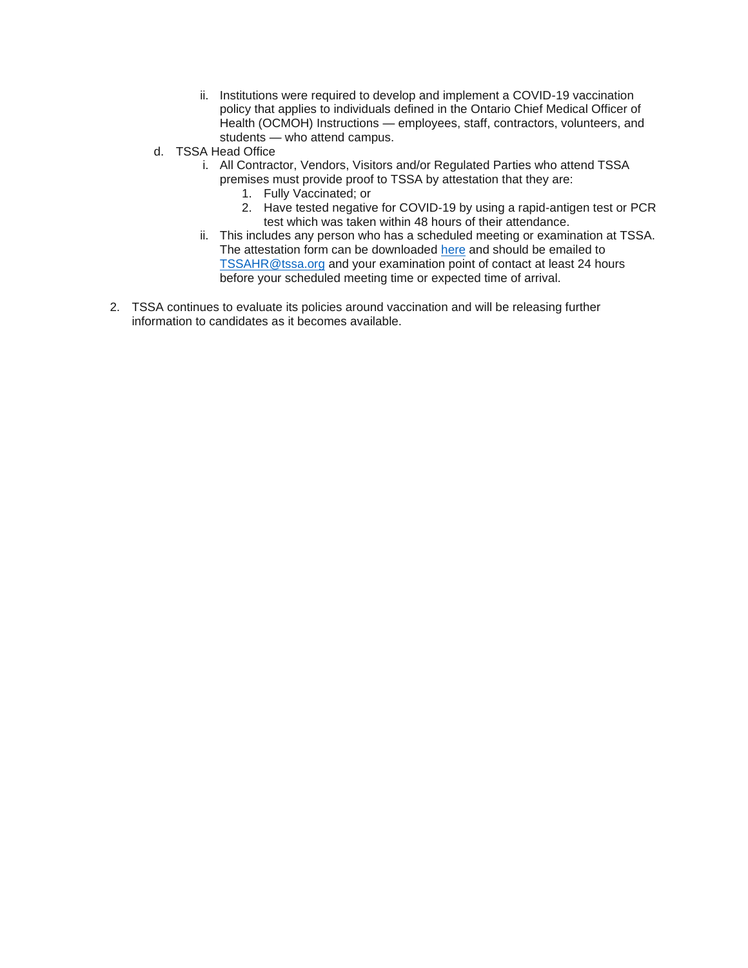- ii. Institutions were required to develop and implement a COVID-19 vaccination policy that applies to individuals defined in the Ontario Chief Medical Officer of Health (OCMOH) Instructions — employees, staff, contractors, volunteers, and students — who attend campus.
- d. TSSA Head Office
	- i. All Contractor, Vendors, Visitors and/or Regulated Parties who attend TSSA premises must provide proof to TSSA by attestation that they are:
		- 1. Fully Vaccinated; or
		- 2. Have tested negative for COVID-19 by using a rapid-antigen test or PCR test which was taken within 48 hours of their attendance.
	- ii. This includes any person who has a scheduled meeting or examination at TSSA. The attestation form can be downloaded [here](https://www.tssa.org/en/elevating-devices/resources/2021-10-15-Letter-of-Attestation-for-Compliance---COVID-19.pdf) and should be emailed to [TSSAHR@tssa.org](mailto:TSSAHR@tssa.org) and your examination point of contact at least 24 hours before your scheduled meeting time or expected time of arrival.
- 2. TSSA continues to evaluate its policies around vaccination and will be releasing further information to candidates as it becomes available.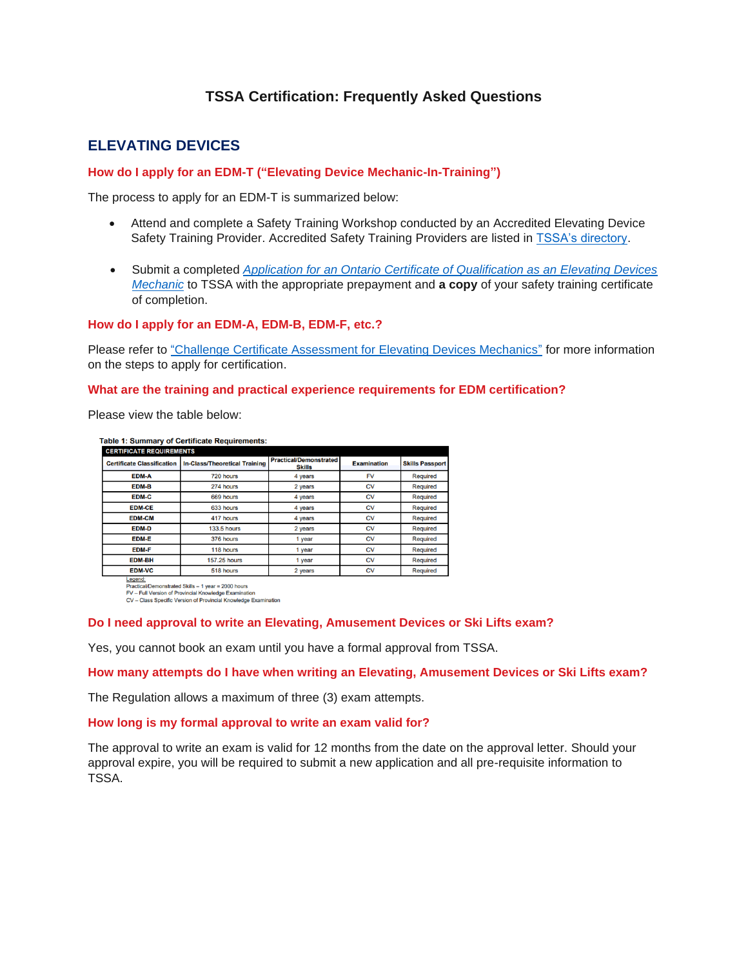## **TSSA Certification: Frequently Asked Questions**

## **ELEVATING DEVICES**

#### **How do I apply for an EDM-T ("Elevating Device Mechanic-In-Training")**

The process to apply for an EDM-T is summarized below:

- Attend and complete a Safety Training Workshop conducted by an Accredited Elevating Device Safety Training Provider. Accredited Safety Training Providers are listed in [TSSA's directory.](https://training.tssa.org/?_mid_=428)
- Submit a completed *[Application for an Ontario Certificate of Qualification as an Elevating Devices](https://www.tssa.org/en/amusement-devices/resources/Documents/ED-C-of-Q---2019.pdf)  [Mechanic](https://www.tssa.org/en/amusement-devices/resources/Documents/ED-C-of-Q---2019.pdf)* to TSSA with the appropriate prepayment and **a copy** of your safety training certificate of completion.

#### **How do I apply for an EDM-A, EDM-B, EDM-F, etc.?**

Please refer to ["Challenge Certificate Assessment for Elevating Devices Mechanics"](https://www.tssa.org/en/amusement-devices/resources/Documents/Challenge-Certificate-Assessment---ED---May-2021.pdf) for more information on the steps to apply for certification.

#### **What are the training and practical experience requirements for EDM certification?**

Please view the table below:

| <b>CERTIFICATE REQUIREMENTS</b>   |                                      |                                                |                    |                        |
|-----------------------------------|--------------------------------------|------------------------------------------------|--------------------|------------------------|
| <b>Certificate Classification</b> | <b>In-Class/Theoretical Training</b> | <b>Practical/Demonstrated</b><br><b>Skills</b> | <b>Examination</b> | <b>Skills Passport</b> |
| <b>EDM-A</b>                      | 720 hours                            | 4 years                                        | <b>FV</b>          | <b>Required</b>        |
| <b>EDM-B</b>                      | 274 hours                            | 2 years                                        | <b>CV</b>          | <b>Required</b>        |
| <b>EDM-C</b>                      | 669 hours                            | 4 years                                        | <b>CV</b>          | Required               |
| <b>EDM-CE</b>                     | 633 hours                            | 4 years                                        | <b>CV</b>          | <b>Required</b>        |
| <b>EDM-CM</b>                     | 417 hours                            | 4 years                                        | <b>CV</b>          | <b>Required</b>        |
| <b>EDM-D</b>                      | <b>133.5 hours</b>                   | 2 years                                        | <b>CV</b>          | <b>Required</b>        |
| <b>EDM-E</b>                      | 376 hours                            | 1 year                                         | <b>CV</b>          | <b>Required</b>        |
| <b>EDM-F</b>                      | 118 hours                            | 1 year                                         | CV                 | <b>Required</b>        |
| <b>EDM-BH</b>                     | <b>157.25 hours</b>                  | 1 year                                         | <b>CV</b>          | <b>Required</b>        |
| <b>EDM-VC</b>                     | 518 hours                            | 2 years                                        | CV                 | Required               |

Legenci<br>Practical/Demonstrated Skills – 1 year = 2000 hours<br>FV – Full Version of Provincial Knowledge Examination<br>CV – Class Specific Version of Provincial Knowledge Examination

#### **Do I need approval to write an Elevating, Amusement Devices or Ski Lifts exam?**

Yes, you cannot book an exam until you have a formal approval from TSSA.

**How many attempts do I have when writing an Elevating, Amusement Devices or Ski Lifts exam?**

The Regulation allows a maximum of three (3) exam attempts.

#### **How long is my formal approval to write an exam valid for?**

The approval to write an exam is valid for 12 months from the date on the approval letter. Should your approval expire, you will be required to submit a new application and all pre-requisite information to TSSA.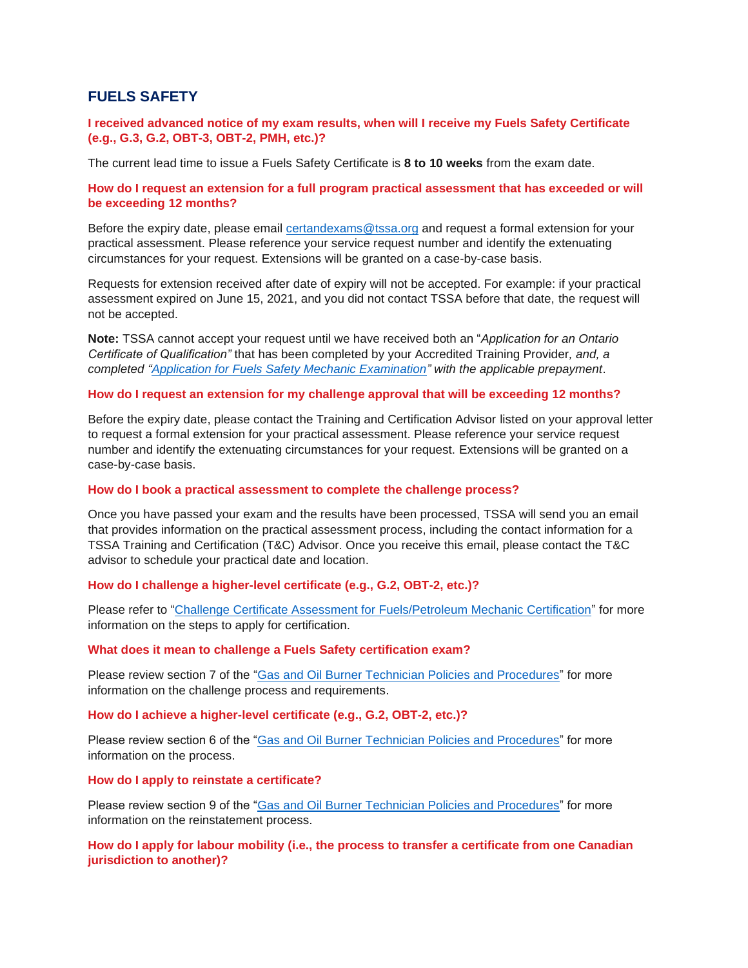## **FUELS SAFETY**

#### **I received advanced notice of my exam results, when will I receive my Fuels Safety Certificate (e.g., G.3, G.2, OBT-3, OBT-2, PMH, etc.)?**

The current lead time to issue a Fuels Safety Certificate is **8 to 10 weeks** from the exam date.

#### **How do I request an extension for a full program practical assessment that has exceeded or will be exceeding 12 months?**

Before the expiry date, please email [certandexams@tssa.org](mailto:certandexams@tssa.org) and request a formal extension for your practical assessment. Please reference your service request number and identify the extenuating circumstances for your request. Extensions will be granted on a case-by-case basis.

Requests for extension received after date of expiry will not be accepted. For example: if your practical assessment expired on June 15, 2021, and you did not contact TSSA before that date, the request will not be accepted.

**Note:** TSSA cannot accept your request until we have received both an "*Application for an Ontario Certificate of Qualification"* that has been completed by your Accredited Training Provider*, and, a completed ["Application for Fuels Safety Mechanic Examination"](https://www.tssa.org/en/operating-engineers/resources/Exam-Applications---All-Programs/Fuels-exam-app--2020---August-2021.pdf) with the applicable prepayment*.

#### **How do I request an extension for my challenge approval that will be exceeding 12 months?**

Before the expiry date, please contact the Training and Certification Advisor listed on your approval letter to request a formal extension for your practical assessment. Please reference your service request number and identify the extenuating circumstances for your request. Extensions will be granted on a case-by-case basis.

#### **How do I book a practical assessment to complete the challenge process?**

Once you have passed your exam and the results have been processed, TSSA will send you an email that provides information on the practical assessment process, including the contact information for a TSSA Training and Certification (T&C) Advisor. Once you receive this email, please contact the T&C advisor to schedule your practical date and location.

### **How do I challenge a higher-level certificate (e.g., G.2, OBT-2, etc.)?**

Please refer to ["Challenge Certificate Assessment for Fuels/Petroleum Mechanic Certification"](https://www.tssa.org/en/about-tssa/resources/Documents/Challenge-Certificate-Assessment-Guide---FS--2020.pdf) for more information on the steps to apply for certification.

#### **What does it mean to challenge a Fuels Safety certification exam?**

Please review section 7 of the ["Gas and Oil Burner Technician Policies and Procedures"](https://www.tssa.org/en/amusement-devices/resources/Documents/Gas--Oil-Policy---October-2020---Final-for-Publication.pdf) for more information on the challenge process and requirements.

#### **How do I achieve a higher-level certificate (e.g., G.2, OBT-2, etc.)?**

Please review section 6 of the ["Gas and Oil Burner Technician Policies and Procedures"](https://www.tssa.org/en/amusement-devices/resources/Documents/Gas--Oil-Policy---October-2020---Final-for-Publication.pdf) for more information on the process.

#### **How do I apply to reinstate a certificate?**

Please review section 9 of the ["Gas and Oil Burner Technician Policies and Procedures"](https://www.tssa.org/en/amusement-devices/resources/Documents/Gas--Oil-Policy---October-2020---Final-for-Publication.pdf) for more information on the reinstatement process.

#### **How do I apply for labour mobility (i.e., the process to transfer a certificate from one Canadian jurisdiction to another)?**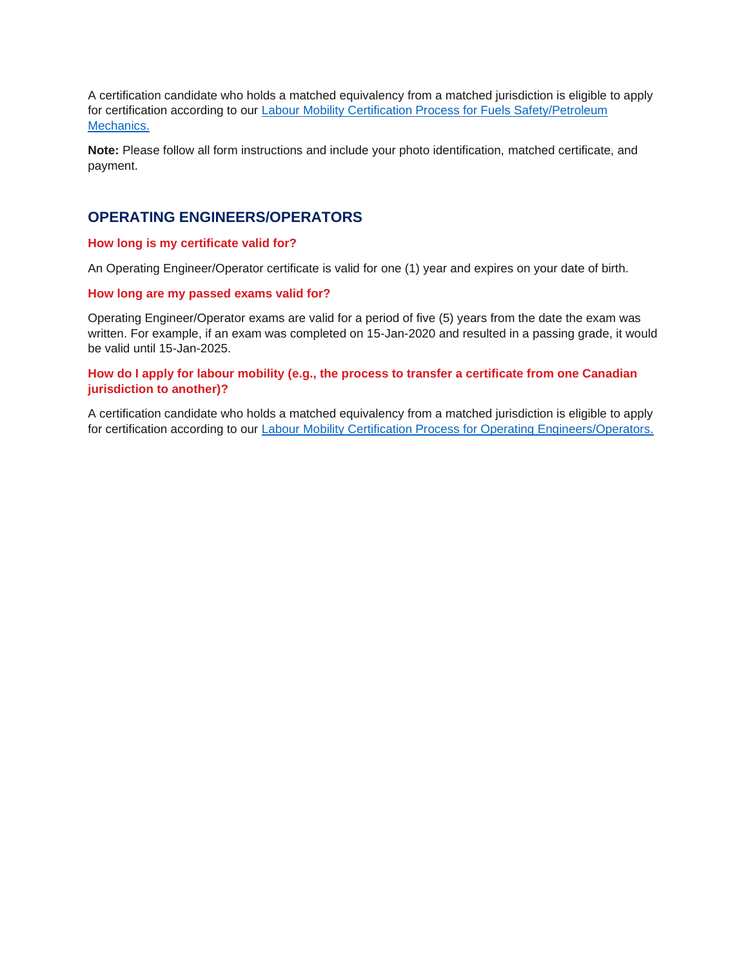A certification candidate who holds a matched equivalency from a matched jurisdiction is eligible to apply for certification according to our [Labour Mobility Certification Process for Fuels Safety/Petroleum](https://www.tssa.org/en/about-tssa/resources/Documents/Labour-Mobility-Process-2020.pdf)  [Mechanics.](https://www.tssa.org/en/about-tssa/resources/Documents/Labour-Mobility-Process-2020.pdf)

**Note:** Please follow all form instructions and include your photo identification, matched certificate, and payment.

## **OPERATING ENGINEERS/OPERATORS**

#### **How long is my certificate valid for?**

An Operating Engineer/Operator certificate is valid for one (1) year and expires on your date of birth.

#### **How long are my passed exams valid for?**

Operating Engineer/Operator exams are valid for a period of five (5) years from the date the exam was written. For example, if an exam was completed on 15-Jan-2020 and resulted in a passing grade, it would be valid until 15-Jan-2025.

#### **How do I apply for labour mobility (e.g., the process to transfer a certificate from one Canadian jurisdiction to another)?**

A certification candidate who holds a matched equivalency from a matched jurisdiction is eligible to apply for certification according to our [Labour Mobility Certification Process for Operating Engineers/Operators.](https://www.tssa.org/en/amusement-devices/resources/Documents/Labour-Mobility-Certification-Process-for-Operating-Engineers-Operators.pdf)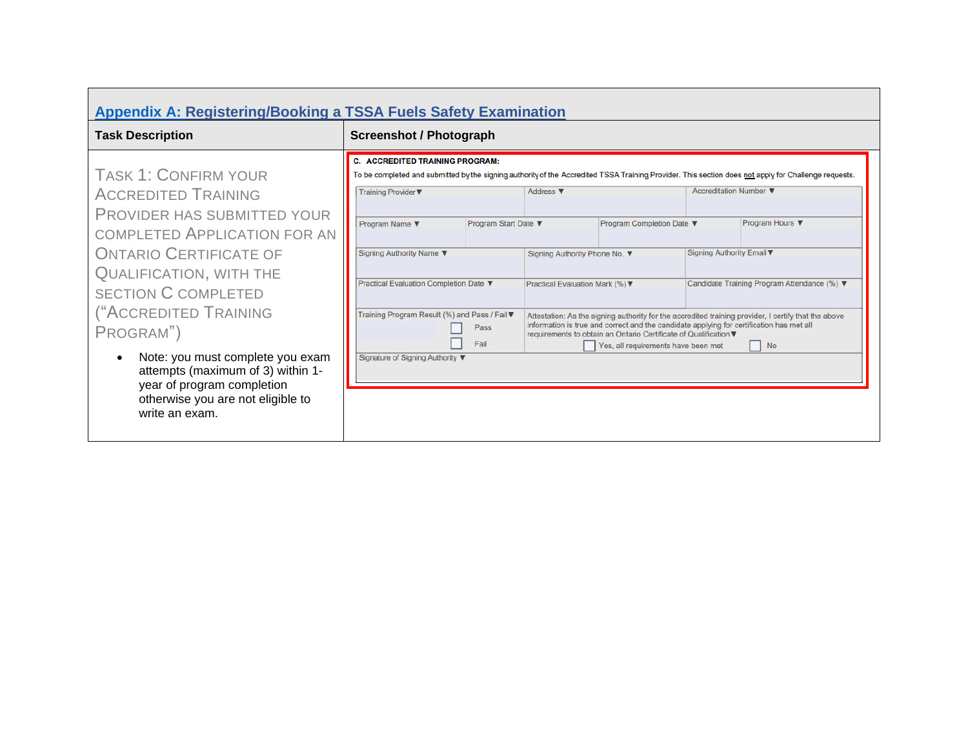<span id="page-7-0"></span>

| <b>Appendix A: Registering/Booking a TSSA Fuels Safety Examination</b>                                                                                                                                                                                                                                                                          |                                                                                                                                                                                                                                                                                    |                                                                                                                                                                                                                                                                                                                   |                                                                                                                                                                                                                                                                                                                                                                                               |
|-------------------------------------------------------------------------------------------------------------------------------------------------------------------------------------------------------------------------------------------------------------------------------------------------------------------------------------------------|------------------------------------------------------------------------------------------------------------------------------------------------------------------------------------------------------------------------------------------------------------------------------------|-------------------------------------------------------------------------------------------------------------------------------------------------------------------------------------------------------------------------------------------------------------------------------------------------------------------|-----------------------------------------------------------------------------------------------------------------------------------------------------------------------------------------------------------------------------------------------------------------------------------------------------------------------------------------------------------------------------------------------|
| <b>Task Description</b>                                                                                                                                                                                                                                                                                                                         | <b>Screenshot / Photograph</b>                                                                                                                                                                                                                                                     |                                                                                                                                                                                                                                                                                                                   |                                                                                                                                                                                                                                                                                                                                                                                               |
| <b>TASK 1: CONFIRM YOUR</b><br><b>ACCREDITED TRAINING</b><br>PROVIDER HAS SUBMITTED YOUR<br><b>COMPLETED APPLICATION FOR AN</b><br><b>ONTARIO CERTIFICATE OF</b><br><b>QUALIFICATION, WITH THE</b><br><b>SECTION C COMPLETED</b><br>("ACCREDITED TRAINING<br>PROGRAM")<br>Note: you must complete you exam<br>attempts (maximum of 3) within 1- | <b>C. ACCREDITED TRAINING PROGRAM:</b><br>Training Provider ▼<br>Program Start Date ▼<br>Program Name ▼<br>Signing Authority Name ▼<br>Practical Evaluation Completion Date ▼<br>Training Program Result (%) and Pass / Fail ▼<br>Pass<br>Fail<br>Signature of Signing Authority ▼ | Address ▼<br>Program Completion Date ▼<br>Signing Authority Phone No. ▼<br>Practical Evaluation Mark (%) ▼<br>information is true and correct and the candidate applying for certification has met all<br>requirements to obtain an Ontario Certificate of Qualification ▼<br>Yes, all requirements have been met | To be completed and submitted by the signing authority of the Accredited TSSA Training Provider. This section does not apply for Challenge requests.<br>Accreditation Number ▼<br>Program Hours ▼<br>Signing Authority Email ▼<br>Candidate Training Program Attendance (%) ▼<br>Attestation: As the signing authority for the accredited training provider, I certify that the above<br>  No |
| year of program completion<br>otherwise you are not eligible to<br>write an exam.                                                                                                                                                                                                                                                               |                                                                                                                                                                                                                                                                                    |                                                                                                                                                                                                                                                                                                                   |                                                                                                                                                                                                                                                                                                                                                                                               |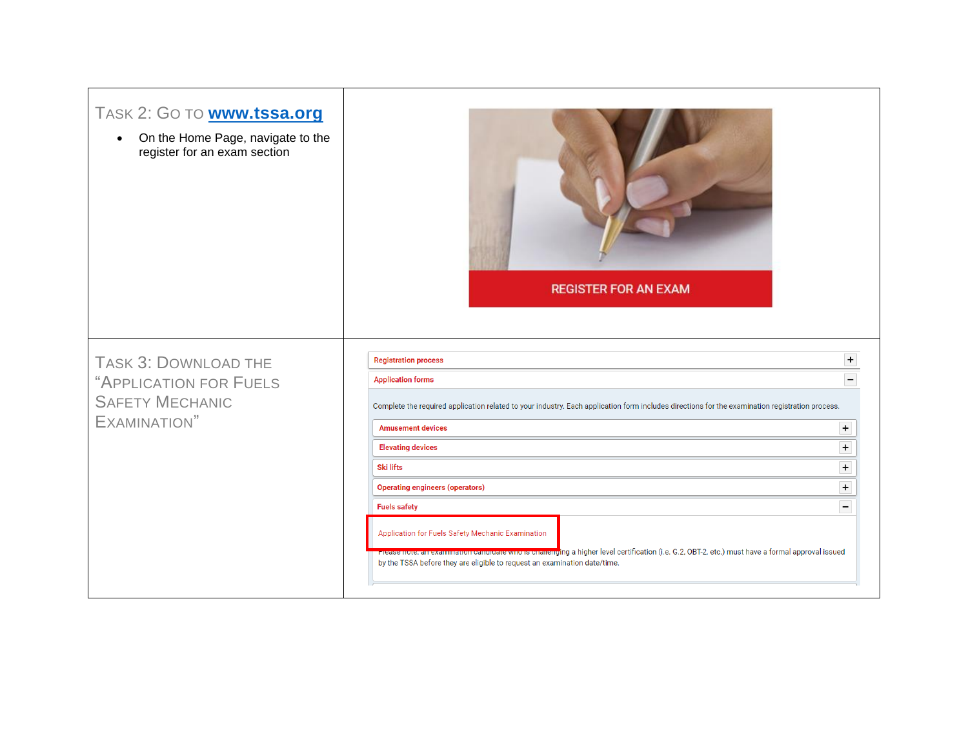| TASK 2: GO TO <b>www.tssa.org</b><br>On the Home Page, navigate to the<br>$\bullet$<br>register for an exam section | <b>REGISTER FOR AN EXAM</b>                                                                                                                                                                                                                                                                     |                                  |
|---------------------------------------------------------------------------------------------------------------------|-------------------------------------------------------------------------------------------------------------------------------------------------------------------------------------------------------------------------------------------------------------------------------------------------|----------------------------------|
| TASK 3: DOWNLOAD THE<br>"APPLICATION FOR FUELS<br><b>SAFETY MECHANIC</b><br>EXAMINATION"                            | <b>Registration process</b><br><b>Application forms</b><br>Complete the required application related to your industry. Each application form includes directions for the examination registration process.                                                                                      |                                  |
|                                                                                                                     | <b>Amusement devices</b>                                                                                                                                                                                                                                                                        | $+$                              |
|                                                                                                                     | <b>Elevating devices</b>                                                                                                                                                                                                                                                                        | $\ddot{}$                        |
|                                                                                                                     | <b>Ski lifts</b>                                                                                                                                                                                                                                                                                | $\begin{array}{c} + \end{array}$ |
|                                                                                                                     | <b>Operating engineers (operators)</b>                                                                                                                                                                                                                                                          | $\ddot{}$                        |
|                                                                                                                     | <b>Fuels safety</b>                                                                                                                                                                                                                                                                             |                                  |
|                                                                                                                     | Application for Fuels Safety Mechanic Examination<br>ri <del>case note, an examination candidate who is charleng</del> ing a higher level certification (i.e. G.2, OBT-2, etc.) must have a formal approval issued<br>by the TSSA before they are eligible to request an examination date/time. |                                  |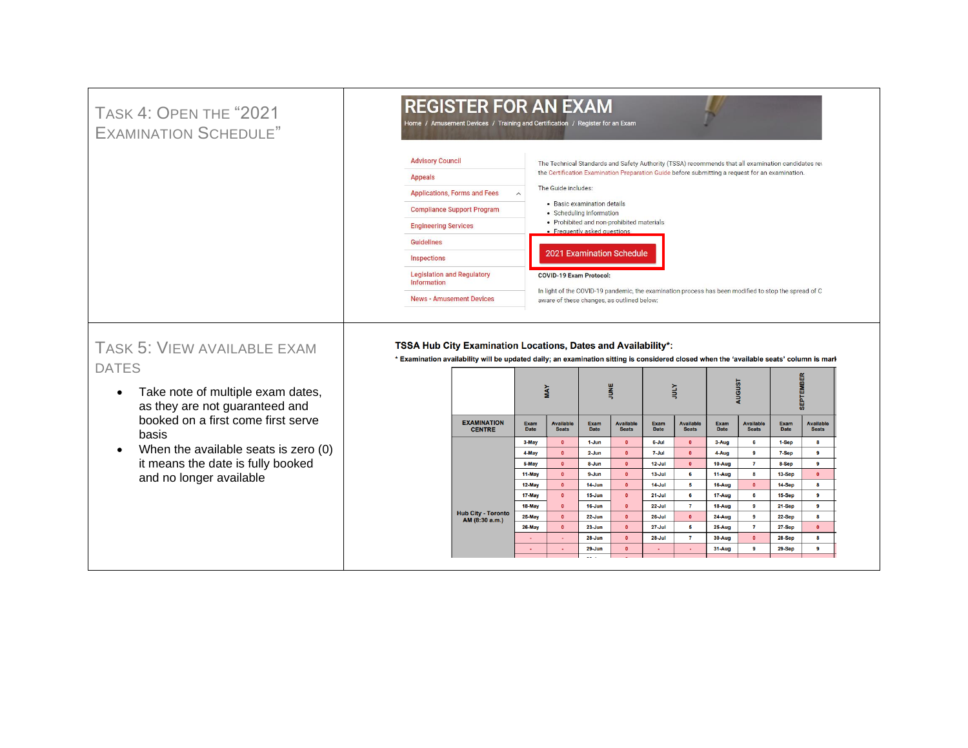#### **REGISTER FOR AN EXAM** TASK 4: OPEN THE "2021 Home / Amusement Devices / Training and Certification / Register for an Exam EXAMINATION SCHEDULE" **Advisory Council** The Technical Standards and Safety Authority (TSSA) recommends that all examination candidates rev the Certification Examination Preparation Guide before submitting a request for an examination. **Appeals** The Guide includes: Applications, Forms and Fees · Basic examination details **Compliance Support Program** • Scheduling information • Prohibited and non-prohibited materials **Engineering Services** · Frequently asked questions **Guidelines** 2021 Examination Schedule Inspections **Legislation and Regulatory COVID-19 Exam Protocol:** Information In light of the COVID-19 pandemic, the examination process has been modified to stop the spread of C **News - Amusement Devices** aware of these changes, as outlined below: TASK 5: VIEW AVAILABLE EXAM TSSA Hub City Examination Locations, Dates and Availability\*: \* Examination availability will be updated daily; an examination sitting is considered closed when the 'available seats' column is mark DATES isi  $\frac{1}{2}$ Йm **VAN** • Take note of multiple exam dates, ğ as they are not guaranteed and booked on a first come first serve EXAMINATION<br>CENTRE Exam<br>Date Available<br>Seats Exam<br>Date Available<br>Seats Exam<br>Date Available<br>Seats Exam<br>Date Available<br>Seats Exam<br>Date Available<br>Seats basis 3-May  $\bullet$  $1-Jun$  $\bullet$ 6-Jul  $\bullet$ 3-Aug  $6\phantom{a}$ 1-Sep  $\bf{8}$ • When the available seats is zero (0) 4-May  $\bullet$  $2 - Jun$  $\bullet$ 7-Jul  $\mathbf{a}$ 4-Aug  $\overline{9}$  $7-Sep$  $\overline{9}$ it means the date is fully booked 5-May  $\bullet$ 8-Jun  $\bullet$  $12$ -Jul  $\bullet$ 10-Aug  $\mathbf{7}$ 8-Sep  $\overline{\mathbf{9}}$ 11-May  $\bullet$  $9 - Jun$  $\bullet$  $13$ -Jul  $6\phantom{a}$  $11-Aug$  $\bf{8}$ 13-Sep  $\bullet$ and no longer available 12-May  $14 - Jun$  $14$ -Jul  $5^{\circ}$ 16-Aug  $\bullet$ 14-Sep  $\overline{\mathbf{8}}$  $\bullet$  $\bullet$ 17-May  $15 - Jun$  $21 -$ Jul 17-Aug 15-Sep  $\bullet$  $\bullet$ 6 6  $9$ 18-May  $\bullet$  $16 - Jun$  $\bullet$  $22 -$ Jul  $7<sup>7</sup>$ 18-Aug  $9$ 21-Sep  $9$ Hub City - Toronto<br>AM (8:30 a.m.) 25-May  $\bullet$  $22 - Jun$  $\bullet$  $26$ -Jul  $\bullet$ 24-Aug  $\overline{9}$ 22-Sep  $\overline{\mathbf{8}}$

 $\bullet$ 

 $23 - Jun$ 

28-Jun

 $29 - Jun$ 

26-May

 $27 -$ Jul

 $28 -$ Jul

 $5^{\circ}$ 

 $\mathbf{7}$ 

25-Aug

30-Aug

31-Aug

 $\mathbf{7}$ 

 $\bullet$ 

 $9$ 

 $\bullet$ 

 $\bullet$ 

 $\bullet$ 

**27-Sep** 

28-Sep

29-Sep

 $\bullet$ 

8

 $9<sub>o</sub>$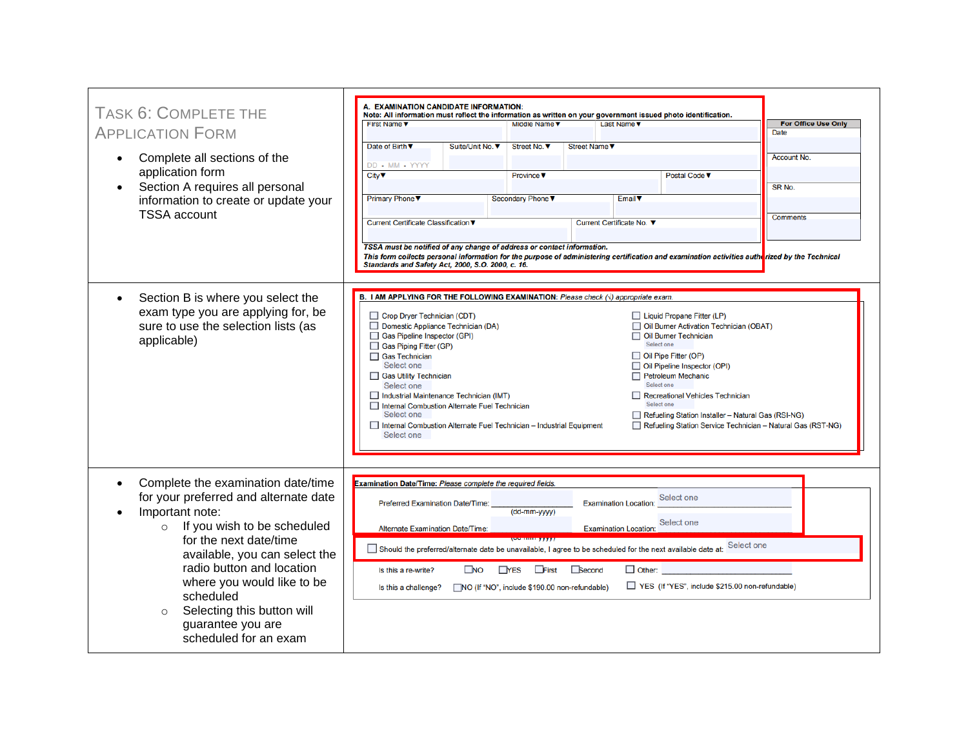| <b>TASK 6: COMPLETE THE</b>                                                                                                                                                                                                                                                                                                                                        | A. EXAMINATION CANDIDATE INFORMATION:                                                                                                                                                                                                                                                                                                                                                                                                                                                                                                                              |                                                                                                                                                                                                                                                                                                                                                                                 |                                           |
|--------------------------------------------------------------------------------------------------------------------------------------------------------------------------------------------------------------------------------------------------------------------------------------------------------------------------------------------------------------------|--------------------------------------------------------------------------------------------------------------------------------------------------------------------------------------------------------------------------------------------------------------------------------------------------------------------------------------------------------------------------------------------------------------------------------------------------------------------------------------------------------------------------------------------------------------------|---------------------------------------------------------------------------------------------------------------------------------------------------------------------------------------------------------------------------------------------------------------------------------------------------------------------------------------------------------------------------------|-------------------------------------------|
| <b>APPLICATION FORM</b>                                                                                                                                                                                                                                                                                                                                            | Note: All information must reflect the information as written on your government issued photo identification.<br>First Name $\nabla$<br>Middle Name V                                                                                                                                                                                                                                                                                                                                                                                                              | Last Name $\nabla$                                                                                                                                                                                                                                                                                                                                                              | <b>For Office Use Only</b><br><b>Date</b> |
| Complete all sections of the                                                                                                                                                                                                                                                                                                                                       | Date of Birth ▼<br>Suite/Unit No. ▼<br>Street No. ▼<br>DD - MM - YYYY                                                                                                                                                                                                                                                                                                                                                                                                                                                                                              | Street Name <b>v</b>                                                                                                                                                                                                                                                                                                                                                            | <b>Account No.</b>                        |
| application form<br>Section A requires all personal<br>information to create or update your<br><b>TSSA</b> account                                                                                                                                                                                                                                                 | City <b>V</b><br><b>Province</b> ▼                                                                                                                                                                                                                                                                                                                                                                                                                                                                                                                                 | Postal Code ▼                                                                                                                                                                                                                                                                                                                                                                   | SR <sub>No.</sub>                         |
|                                                                                                                                                                                                                                                                                                                                                                    | Primary Phone V<br>Secondary Phone<br>Current Certificate Classification ▼                                                                                                                                                                                                                                                                                                                                                                                                                                                                                         | Email <b>v</b><br>Current Certificate No. ▼                                                                                                                                                                                                                                                                                                                                     | <b>Comments</b>                           |
|                                                                                                                                                                                                                                                                                                                                                                    | TSSA must be notified of any change of address or contact information.<br>This form collects personal information for the purpose of administering certification and examination activities autherized by the Technical<br>Standards and Safety Act, 2000, S.O. 2000, c. 16.                                                                                                                                                                                                                                                                                       |                                                                                                                                                                                                                                                                                                                                                                                 |                                           |
| Section B is where you select the<br>exam type you are applying for, be<br>sure to use the selection lists (as<br>applicable)                                                                                                                                                                                                                                      | B. I AM APPLYING FOR THE FOLLOWING EXAMINATION: Please check ( $\sqrt{ }$ ) appropriate exam.<br>Crop Dryer Technician (CDT)<br>Domestic Appliance Technician (DA)<br>Gas Pipeline Inspector (GPI)<br>Gas Piping Fitter (GP)<br>□ Gas Technician<br>Select one<br>Gas Utility Technician<br>Select one<br>Industrial Maintenance Technician (IMT)<br>□ Internal Combustion Alternate Fuel Technician<br>Select one<br>Internal Combustion Alternate Fuel Technician - Industrial Equipment<br>Select one                                                           | Liquid Propane Fitter (LP)<br>Oil Burner Activation Technician (OBAT)<br>Oil Burner Technician<br>Select one<br>Oil Pipe Fitter (OP)<br>Oil Pipeline Inspector (OPI)<br>Petroleum Mechanic<br>Select one<br>Recreational Vehicles Technician<br>Select one<br>Refueling Station Installer - Natural Gas (RSI-NG)<br>Refueling Station Service Technician - Natural Gas (RST-NG) |                                           |
| Complete the examination date/time<br>for your preferred and alternate date<br>Important note:<br>If you wish to be scheduled<br>$\circ$<br>for the next date/time<br>available, you can select the<br>radio button and location<br>where you would like to be<br>scheduled<br>Selecting this button will<br>$\circ$<br>guarantee you are<br>scheduled for an exam | Examination Date/Time: Please complete the required fields.<br>Preferred Examination Date/Time:<br>(dd-mm-yyyy)<br><b>Alternate Examination Date/Time:</b><br><b><i><u>NAME OF BEING ON DER WITH THE STATE OF BEING OF BEING OF BEING OF BEING OF BEING OF BEING OF BEING OF BEING O</u></i></b><br>Should the preferred/alternate date be unavailable, I agree to be scheduled for the next available date at:<br><b>TYES</b> First <b>Becond</b><br>$\square$ NO<br>Is this a re-write?<br>MO (If "NO", include \$190.00 non-refundable)<br>Is this a challenge? | Select one<br><b>Examination Location:</b><br>Select one<br><b>Examination Location:</b><br>Select one<br>$\Box$ Other:<br>YES (If "YES", include \$215.00 non-refundable)                                                                                                                                                                                                      |                                           |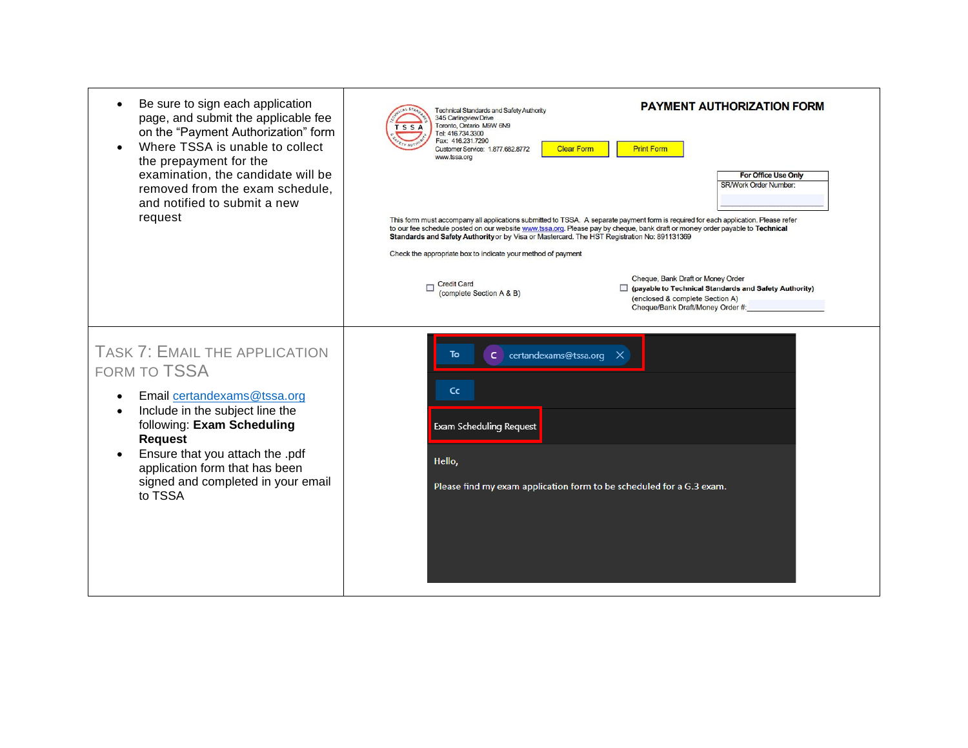| Be sure to sign each application<br>page, and submit the applicable fee<br>on the "Payment Authorization" form<br>Where TSSA is unable to collect<br>the prepayment for the<br>examination, the candidate will be<br>removed from the exam schedule,<br>and notified to submit a new<br>request     | <b>PAYMENT AUTHORIZATION FORM</b><br><b>Technical Standards and Safety Authority</b><br>345 Carlingview Drive<br>Toronto, Ontario M9W 6N9<br>'S S A<br>Tel: 416.734.3300<br>Fax: 416.231.7290<br><b>Print Form</b><br><b>Clear Form</b><br>Customer Service: 1.877.682.8772<br>www.tssa.org<br><b>For Office Use Only</b><br><b>SR/Work Order Number:</b><br>This form must accompany all applications submitted to TSSA. A separate payment form is required for each application. Please refer<br>to our fee schedule posted on our website www.tssa.org. Please pay by cheque, bank draft or money order payable to Technical<br>Standards and Safety Authority or by Visa or Mastercard. The HST Registration No: 891131369<br>Check the appropriate box to indicate your method of payment<br>Cheque, Bank Draft or Money Order<br><b>Credit Card</b><br>п<br>payable to Technical Standards and Safety Authority)<br>(complete Section A & B)<br>(enclosed & complete Section A) |
|-----------------------------------------------------------------------------------------------------------------------------------------------------------------------------------------------------------------------------------------------------------------------------------------------------|----------------------------------------------------------------------------------------------------------------------------------------------------------------------------------------------------------------------------------------------------------------------------------------------------------------------------------------------------------------------------------------------------------------------------------------------------------------------------------------------------------------------------------------------------------------------------------------------------------------------------------------------------------------------------------------------------------------------------------------------------------------------------------------------------------------------------------------------------------------------------------------------------------------------------------------------------------------------------------------|
| <b>TASK 7: EMAIL THE APPLICATION</b><br><b>FORM TO TSSA</b><br>Email certandexams@tssa.org<br>Include in the subject line the<br>following: Exam Scheduling<br><b>Request</b><br>Ensure that you attach the .pdf<br>application form that has been<br>signed and completed in your email<br>to TSSA | Cheque/Bank Draft/Money Order #:<br>C certandexams@tssa.org X<br>To<br>Cc<br><b>Exam Scheduling Request</b><br>Hello,<br>Please find my exam application form to be scheduled for a G.3 exam.                                                                                                                                                                                                                                                                                                                                                                                                                                                                                                                                                                                                                                                                                                                                                                                          |